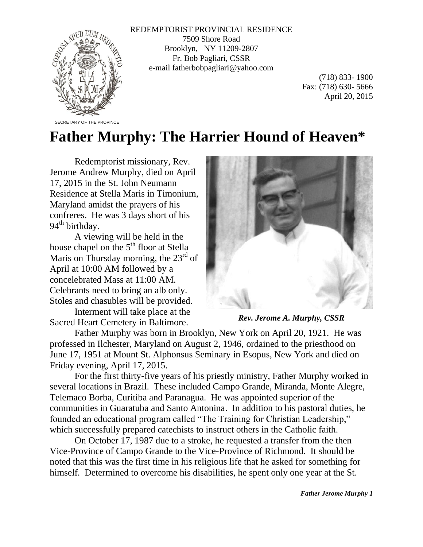

REDEMPTORIST PROVINCIAL RESIDENCE 7509 Shore Road Brooklyn, NY 11209-2807 Fr. Bob Pagliari, CSSR e-mail fatherbobpagliari@yahoo.com

> (718) 833- 1900 Fax: (718) 630- 5666 April 20, 2015

## **Father Murphy: The Harrier Hound of Heaven\***

Redemptorist missionary, Rev. Jerome Andrew Murphy, died on April 17, 2015 in the St. John Neumann Residence at Stella Maris in Timonium, Maryland amidst the prayers of his confreres. He was 3 days short of his  $94<sup>th</sup>$  birthday.

A viewing will be held in the house chapel on the 5<sup>th</sup> floor at Stella Maris on Thursday morning, the  $23<sup>rd</sup>$  of April at 10:00 AM followed by a concelebrated Mass at 11:00 AM. Celebrants need to bring an alb only. Stoles and chasubles will be provided.

Interment will take place at the Sacred Heart Cemetery in Baltimore.



*Rev. Jerome A. Murphy, CSSR*

Father Murphy was born in Brooklyn, New York on April 20, 1921. He was professed in Ilchester, Maryland on August 2, 1946, ordained to the priesthood on June 17, 1951 at Mount St. Alphonsus Seminary in Esopus, New York and died on Friday evening, April 17, 2015.

For the first thirty-five years of his priestly ministry, Father Murphy worked in several locations in Brazil. These included Campo Grande, Miranda, Monte Alegre, Telemaco Borba, Curitiba and Paranagua. He was appointed superior of the communities in Guaratuba and Santo Antonina. In addition to his pastoral duties, he founded an educational program called "The Training for Christian Leadership," which successfully prepared catechists to instruct others in the Catholic faith.

On October 17, 1987 due to a stroke, he requested a transfer from the then Vice-Province of Campo Grande to the Vice-Province of Richmond. It should be noted that this was the first time in his religious life that he asked for something for himself. Determined to overcome his disabilities, he spent only one year at the St.